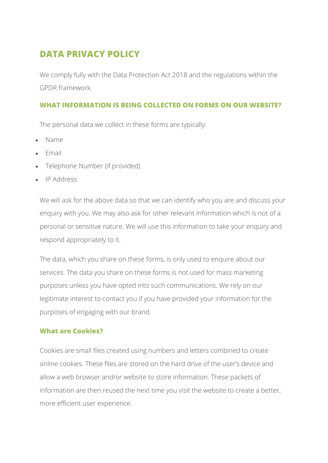# **DATA PRIVACY POLICY**

We comply fully with the Data Protection Act 2018 and the regulations within the GPDR framework.

## **WHAT INFORMATION IS BEING COLLECTED ON FORMS ON OUR WEBSITE?**

The personal data we collect in these forms are typically:

- Name
- Email
- Telephone Number (if provided)
- IP Address

We will ask for the above data so that we can identify who you are and discuss your enquiry with you. We may also ask for other relevant information which is not of a personal or sensitive nature. We will use this information to take your enquiry and respond appropriately to it.

The data, which you share on these forms, is only used to enquire about our services. The data you share on these forms is not used for mass marketing purposes unless you have opted into such communications. We rely on our legitimate interest to contact you if you have provided your information for the purposes of engaging with our brand.

## **What are Cookies?**

Cookies are small files created using numbers and letters combined to create online cookies. These files are stored on the hard drive of the user's device and allow a web browser and/or website to store information. These packets of information are then reused the next time you visit the website to create a better, more efficient user experience.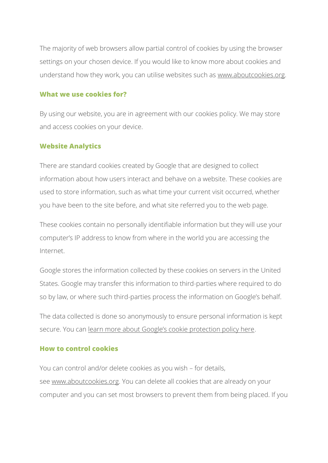The majority of web browsers allow partial control of cookies by using the browser settings on your chosen device. If you would like to know more about cookies and understand how they work, you can utilise websites such as [www.aboutcookies.org.](https://www.aboutcookies.org/)

## **What we use cookies for?**

By using our website, you are in agreement with our cookies policy. We may store and access cookies on your device.

## **Website Analytics**

There are standard cookies created by Google that are designed to collect information about how users interact and behave on a website. These cookies are used to store information, such as what time your current visit occurred, whether you have been to the site before, and what site referred you to the web page.

These cookies contain no personally identifiable information but they will use your computer's IP address to know from where in the world you are accessing the Internet.

Google stores the information collected by these cookies on servers in the United States. Google may transfer this information to third-parties where required to do so by law, or where such third-parties process the information on Google's behalf.

The data collected is done so anonymously to ensure personal information is kept secure. You can [learn more about Google's cookie protection policy here](https://support.google.com/analytics/answer/6004245).

## **How to control cookies**

You can control and/or delete cookies as you wish – for details, see [www.aboutcookies.org.](https://www.aboutcookies.org/) You can delete all cookies that are already on your computer and you can set most browsers to prevent them from being placed. If you